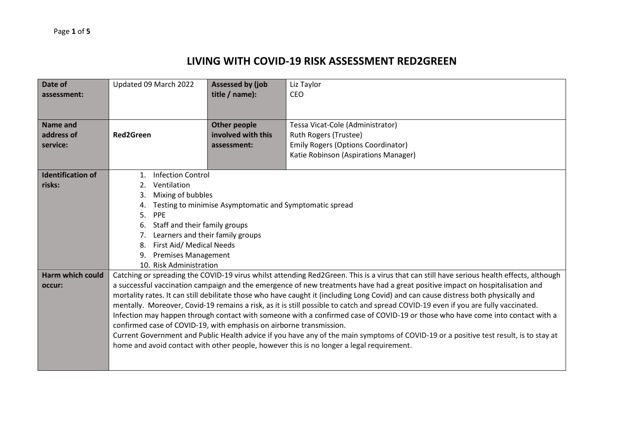## **LIVING WITH COVID-19 RISK ASSESSMENT RED2GREEN**

| Date of                  | Updated 09 March 2022                                               | <b>Assessed by (job</b> | Liz Taylor                                                                                                                                |  |
|--------------------------|---------------------------------------------------------------------|-------------------------|-------------------------------------------------------------------------------------------------------------------------------------------|--|
| assessment:              |                                                                     | title / name):          | CEO                                                                                                                                       |  |
|                          |                                                                     |                         |                                                                                                                                           |  |
|                          |                                                                     |                         |                                                                                                                                           |  |
| <b>Name and</b>          |                                                                     | <b>Other people</b>     | Tessa Vicat-Cole (Administrator)                                                                                                          |  |
| address of               | <b>Red2Green</b>                                                    | involved with this      | Ruth Rogers (Trustee)                                                                                                                     |  |
| service:                 |                                                                     | assessment:             | <b>Emily Rogers (Options Coordinator)</b>                                                                                                 |  |
|                          |                                                                     |                         | Katie Robinson (Aspirations Manager)                                                                                                      |  |
|                          |                                                                     |                         |                                                                                                                                           |  |
| <b>Identification of</b> | <b>Infection Control</b><br>$\mathbf{1}$ .                          |                         |                                                                                                                                           |  |
| risks:                   | Ventilation<br>2.                                                   |                         |                                                                                                                                           |  |
|                          | Mixing of bubbles<br>3.                                             |                         |                                                                                                                                           |  |
|                          | Testing to minimise Asymptomatic and Symptomatic spread<br>4.       |                         |                                                                                                                                           |  |
|                          | 5.<br>PPE                                                           |                         |                                                                                                                                           |  |
|                          | Staff and their family groups<br>6.                                 |                         |                                                                                                                                           |  |
|                          | Learners and their family groups                                    |                         |                                                                                                                                           |  |
|                          | First Aid/ Medical Needs<br>8.                                      |                         |                                                                                                                                           |  |
|                          | <b>Premises Management</b><br>9.                                    |                         |                                                                                                                                           |  |
|                          | 10. Risk Administration                                             |                         |                                                                                                                                           |  |
| Harm which could         |                                                                     |                         | Catching or spreading the COVID-19 virus whilst attending Red2Green. This is a virus that can still have serious health effects, although |  |
| occur:                   |                                                                     |                         | a successful vaccination campaign and the emergence of new treatments have had a great positive impact on hospitalisation and             |  |
|                          |                                                                     |                         | mortality rates. It can still debilitate those who have caught it (including Long Covid) and can cause distress both physically and       |  |
|                          |                                                                     |                         | mentally. Moreover, Covid-19 remains a risk, as it is still possible to catch and spread COVID-19 even if you are fully vaccinated.       |  |
|                          |                                                                     |                         | Infection may happen through contact with someone with a confirmed case of COVID-19 or those who have come into contact with a            |  |
|                          | confirmed case of COVID-19, with emphasis on airborne transmission. |                         |                                                                                                                                           |  |
|                          |                                                                     |                         | Current Government and Public Health advice if you have any of the main symptoms of COVID-19 or a positive test result, is to stay at     |  |
|                          |                                                                     |                         | home and avoid contact with other people, however this is no longer a legal requirement.                                                  |  |
|                          |                                                                     |                         |                                                                                                                                           |  |
|                          |                                                                     |                         |                                                                                                                                           |  |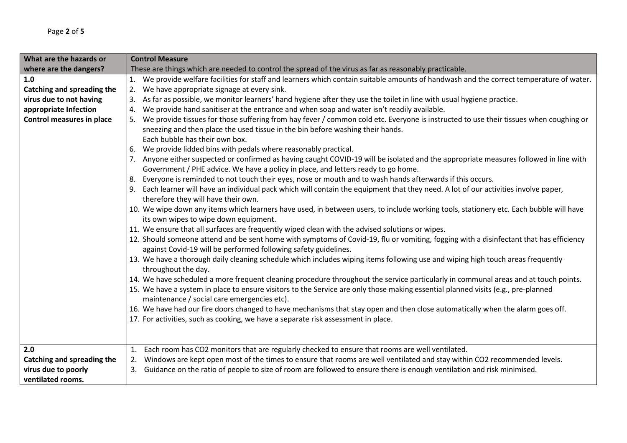| What are the hazards or           | <b>Control Measure</b>                                                                                                                                                                                                                                                   |  |  |
|-----------------------------------|--------------------------------------------------------------------------------------------------------------------------------------------------------------------------------------------------------------------------------------------------------------------------|--|--|
| where are the dangers?            | These are things which are needed to control the spread of the virus as far as reasonably practicable.                                                                                                                                                                   |  |  |
| 1.0                               | We provide welfare facilities for staff and learners which contain suitable amounts of handwash and the correct temperature of water.<br>1.                                                                                                                              |  |  |
| <b>Catching and spreading the</b> | We have appropriate signage at every sink.<br>2.                                                                                                                                                                                                                         |  |  |
| virus due to not having           | As far as possible, we monitor learners' hand hygiene after they use the toilet in line with usual hygiene practice.<br>3.                                                                                                                                               |  |  |
| appropriate Infection             | We provide hand sanitiser at the entrance and when soap and water isn't readily available.<br>4.                                                                                                                                                                         |  |  |
| <b>Control measures in place</b>  | We provide tissues for those suffering from hay fever / common cold etc. Everyone is instructed to use their tissues when coughing or<br>5.                                                                                                                              |  |  |
|                                   | sneezing and then place the used tissue in the bin before washing their hands.                                                                                                                                                                                           |  |  |
|                                   | Each bubble has their own box.                                                                                                                                                                                                                                           |  |  |
|                                   | We provide lidded bins with pedals where reasonably practical.<br>6.                                                                                                                                                                                                     |  |  |
|                                   | Anyone either suspected or confirmed as having caught COVID-19 will be isolated and the appropriate measures followed in line with                                                                                                                                       |  |  |
|                                   | Government / PHE advice. We have a policy in place, and letters ready to go home.                                                                                                                                                                                        |  |  |
|                                   | Everyone is reminded to not touch their eyes, nose or mouth and to wash hands afterwards if this occurs.<br>8.                                                                                                                                                           |  |  |
|                                   | Each learner will have an individual pack which will contain the equipment that they need. A lot of our activities involve paper,                                                                                                                                        |  |  |
|                                   | therefore they will have their own.                                                                                                                                                                                                                                      |  |  |
|                                   | 10. We wipe down any items which learners have used, in between users, to include working tools, stationery etc. Each bubble will have                                                                                                                                   |  |  |
|                                   | its own wipes to wipe down equipment.                                                                                                                                                                                                                                    |  |  |
|                                   | 11. We ensure that all surfaces are frequently wiped clean with the advised solutions or wipes.                                                                                                                                                                          |  |  |
|                                   | 12. Should someone attend and be sent home with symptoms of Covid-19, flu or vomiting, fogging with a disinfectant that has efficiency                                                                                                                                   |  |  |
|                                   | against Covid-19 will be performed following safety guidelines.                                                                                                                                                                                                          |  |  |
|                                   | 13. We have a thorough daily cleaning schedule which includes wiping items following use and wiping high touch areas frequently<br>throughout the day.                                                                                                                   |  |  |
|                                   |                                                                                                                                                                                                                                                                          |  |  |
|                                   | 14. We have scheduled a more frequent cleaning procedure throughout the service particularly in communal areas and at touch points.<br>15. We have a system in place to ensure visitors to the Service are only those making essential planned visits (e.g., pre-planned |  |  |
|                                   | maintenance / social care emergencies etc).                                                                                                                                                                                                                              |  |  |
|                                   | 16. We have had our fire doors changed to have mechanisms that stay open and then close automatically when the alarm goes off.                                                                                                                                           |  |  |
|                                   | 17. For activities, such as cooking, we have a separate risk assessment in place.                                                                                                                                                                                        |  |  |
|                                   |                                                                                                                                                                                                                                                                          |  |  |
|                                   |                                                                                                                                                                                                                                                                          |  |  |
| 2.0                               | Each room has CO2 monitors that are regularly checked to ensure that rooms are well ventilated.<br>1.                                                                                                                                                                    |  |  |
| <b>Catching and spreading the</b> | Windows are kept open most of the times to ensure that rooms are well ventilated and stay within CO2 recommended levels.<br>2.                                                                                                                                           |  |  |
| virus due to poorly               | 3. Guidance on the ratio of people to size of room are followed to ensure there is enough ventilation and risk minimised.                                                                                                                                                |  |  |
| ventilated rooms.                 |                                                                                                                                                                                                                                                                          |  |  |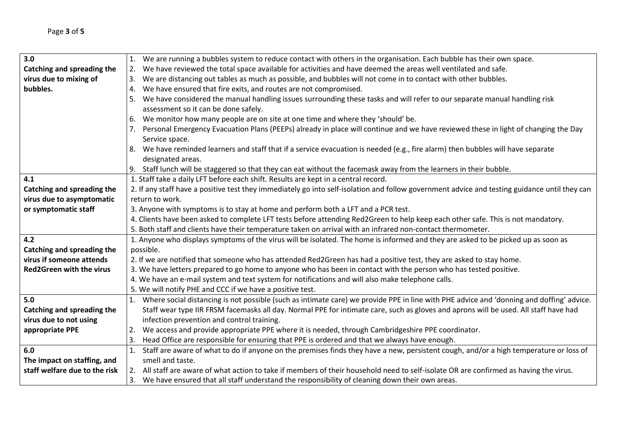| 3.0                             | 1. We are running a bubbles system to reduce contact with others in the organisation. Each bubble has their own space.                        |  |
|---------------------------------|-----------------------------------------------------------------------------------------------------------------------------------------------|--|
| Catching and spreading the      | We have reviewed the total space available for activities and have deemed the areas well ventilated and safe.<br>2.                           |  |
| virus due to mixing of          | We are distancing out tables as much as possible, and bubbles will not come in to contact with other bubbles.<br>Β.                           |  |
| bubbles.                        | We have ensured that fire exits, and routes are not compromised.<br>4.                                                                        |  |
|                                 | We have considered the manual handling issues surrounding these tasks and will refer to our separate manual handling risk                     |  |
|                                 | assessment so it can be done safely.                                                                                                          |  |
|                                 | We monitor how many people are on site at one time and where they 'should' be.<br>6.                                                          |  |
|                                 | Personal Emergency Evacuation Plans (PEEPs) already in place will continue and we have reviewed these in light of changing the Day            |  |
|                                 | Service space.                                                                                                                                |  |
|                                 | We have reminded learners and staff that if a service evacuation is needed (e.g., fire alarm) then bubbles will have separate<br>8.           |  |
|                                 | designated areas.                                                                                                                             |  |
|                                 | 9. Staff lunch will be staggered so that they can eat without the facemask away from the learners in their bubble.                            |  |
| 4.1                             | 1. Staff take a daily LFT before each shift. Results are kept in a central record.                                                            |  |
| Catching and spreading the      | 2. If any staff have a positive test they immediately go into self-isolation and follow government advice and testing guidance until they can |  |
| virus due to asymptomatic       | return to work.                                                                                                                               |  |
| or symptomatic staff            | 3. Anyone with symptoms is to stay at home and perform both a LFT and a PCR test.                                                             |  |
|                                 | 4. Clients have been asked to complete LFT tests before attending Red2Green to help keep each other safe. This is not mandatory.              |  |
|                                 | 5. Both staff and clients have their temperature taken on arrival with an infrared non-contact thermometer.                                   |  |
| 4.2                             | 1. Anyone who displays symptoms of the virus will be isolated. The home is informed and they are asked to be picked up as soon as             |  |
| Catching and spreading the      | possible.                                                                                                                                     |  |
| virus if someone attends        | 2. If we are notified that someone who has attended Red2Green has had a positive test, they are asked to stay home.                           |  |
| <b>Red2Green with the virus</b> | 3. We have letters prepared to go home to anyone who has been in contact with the person who has tested positive.                             |  |
|                                 | 4. We have an e-mail system and text system for notifications and will also make telephone calls.                                             |  |
|                                 | 5. We will notify PHE and CCC if we have a positive test.                                                                                     |  |
| 5.0                             | 1. Where social distancing is not possible (such as intimate care) we provide PPE in line with PHE advice and 'donning and doffing' advice.   |  |
| Catching and spreading the      | Staff wear type IIR FRSM facemasks all day. Normal PPE for intimate care, such as gloves and aprons will be used. All staff have had          |  |
| virus due to not using          | infection prevention and control training.                                                                                                    |  |
| appropriate PPE                 | We access and provide appropriate PPE where it is needed, through Cambridgeshire PPE coordinator.<br>2.                                       |  |
|                                 | Head Office are responsible for ensuring that PPE is ordered and that we always have enough.<br>3.                                            |  |
| 6.0                             | Staff are aware of what to do if anyone on the premises finds they have a new, persistent cough, and/or a high temperature or loss of<br>1.   |  |
| The impact on staffing, and     | smell and taste.                                                                                                                              |  |
| staff welfare due to the risk   | 2. All staff are aware of what action to take if members of their household need to self-isolate OR are confirmed as having the virus.        |  |
|                                 | 3. We have ensured that all staff understand the responsibility of cleaning down their own areas.                                             |  |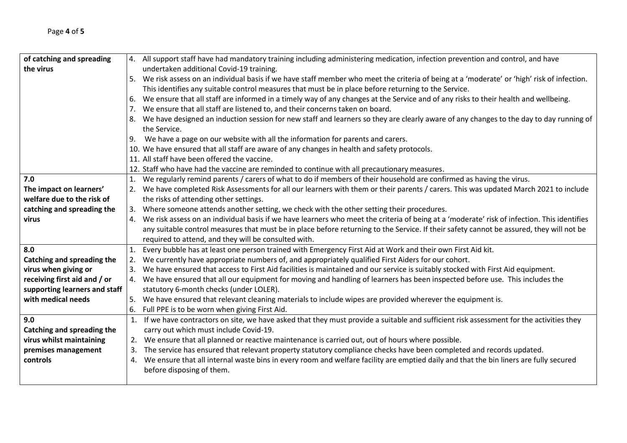| of catching and spreading         |    | 4. All support staff have had mandatory training including administering medication, infection prevention and control, and have                |
|-----------------------------------|----|------------------------------------------------------------------------------------------------------------------------------------------------|
| the virus                         |    | undertaken additional Covid-19 training.                                                                                                       |
|                                   |    | 5. We risk assess on an individual basis if we have staff member who meet the criteria of being at a 'moderate' or 'high' risk of infection.   |
|                                   |    | This identifies any suitable control measures that must be in place before returning to the Service.                                           |
|                                   | 6. | We ensure that all staff are informed in a timely way of any changes at the Service and of any risks to their health and wellbeing.            |
|                                   | 7. | We ensure that all staff are listened to, and their concerns taken on board.                                                                   |
|                                   | 8. | We have designed an induction session for new staff and learners so they are clearly aware of any changes to the day to day running of         |
|                                   |    | the Service.                                                                                                                                   |
|                                   | 9. | We have a page on our website with all the information for parents and carers.                                                                 |
|                                   |    | 10. We have ensured that all staff are aware of any changes in health and safety protocols.                                                    |
|                                   |    | 11. All staff have been offered the vaccine.                                                                                                   |
|                                   |    | 12. Staff who have had the vaccine are reminded to continue with all precautionary measures.                                                   |
| 7.0                               | 1. | We regularly remind parents / carers of what to do if members of their household are confirmed as having the virus.                            |
| The impact on learners'           |    | 2. We have completed Risk Assessments for all our learners with them or their parents / carers. This was updated March 2021 to include         |
| welfare due to the risk of        |    | the risks of attending other settings.                                                                                                         |
| catching and spreading the        |    | 3. Where someone attends another setting, we check with the other setting their procedures.                                                    |
| virus                             |    | 4. We risk assess on an individual basis if we have learners who meet the criteria of being at a 'moderate' risk of infection. This identifies |
|                                   |    | any suitable control measures that must be in place before returning to the Service. If their safety cannot be assured, they will not be       |
|                                   |    | required to attend, and they will be consulted with.                                                                                           |
| 8.0                               | 1. | Every bubble has at least one person trained with Emergency First Aid at Work and their own First Aid kit.                                     |
| <b>Catching and spreading the</b> | 2. | We currently have appropriate numbers of, and appropriately qualified First Aiders for our cohort.                                             |
| virus when giving or              | 3. | We have ensured that access to First Aid facilities is maintained and our service is suitably stocked with First Aid equipment.                |
| receiving first aid and / or      |    | 4. We have ensured that all our equipment for moving and handling of learners has been inspected before use. This includes the                 |
| supporting learners and staff     |    | statutory 6-month checks (under LOLER).                                                                                                        |
| with medical needs                |    | 5. We have ensured that relevant cleaning materials to include wipes are provided wherever the equipment is.                                   |
|                                   |    | 6. Full PPE is to be worn when giving First Aid.                                                                                               |
| 9.0                               |    | 1. If we have contractors on site, we have asked that they must provide a suitable and sufficient risk assessment for the activities they      |
| Catching and spreading the        |    | carry out which must include Covid-19.                                                                                                         |
| virus whilst maintaining          |    | 2. We ensure that all planned or reactive maintenance is carried out, out of hours where possible.                                             |
| premises management               |    | 3. The service has ensured that relevant property statutory compliance checks have been completed and records updated.                         |
| controls                          |    | 4. We ensure that all internal waste bins in every room and welfare facility are emptied daily and that the bin liners are fully secured       |
|                                   |    | before disposing of them.                                                                                                                      |
|                                   |    |                                                                                                                                                |